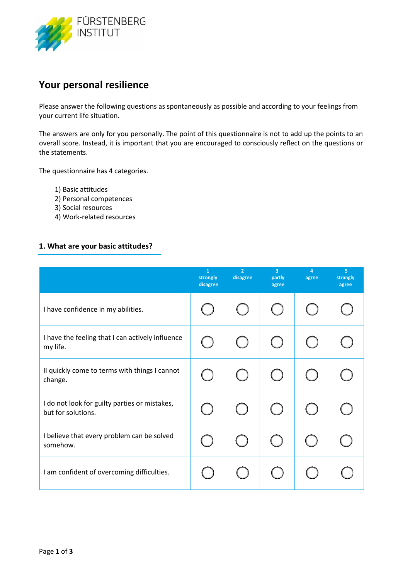

# **Your personal resilience**

Please answer the following questions as spontaneously as possible and according to your feelings from your current life situation.

The answers are only for you personally. The point of this questionnaire is not to add up the points to an overall score. Instead, it is important that you are encouraged to consciously reflect on the questions or the statements.

The questionnaire has 4 categories.

- 1) Basic attitudes
- 2) Personal competences
- 3) Social resources
- 4) Work-related resources

#### **1. What are your basic attitudes?**

|                                                                     | $\mathbf{1}$<br>strongly<br>disagree | $\overline{2}$<br>disagree | $\overline{3}$<br>partly<br>agree | 4<br>agree | 5<br>strongly<br>agree |
|---------------------------------------------------------------------|--------------------------------------|----------------------------|-----------------------------------|------------|------------------------|
| I have confidence in my abilities.                                  |                                      |                            |                                   |            |                        |
| I have the feeling that I can actively influence<br>my life.        |                                      |                            |                                   |            |                        |
| II quickly come to terms with things I cannot<br>change.            |                                      |                            |                                   |            |                        |
| I do not look for guilty parties or mistakes,<br>but for solutions. |                                      | $\mathcal{L}$              |                                   |            |                        |
| I believe that every problem can be solved<br>somehow.              |                                      |                            |                                   |            |                        |
| I am confident of overcoming difficulties.                          |                                      |                            |                                   |            |                        |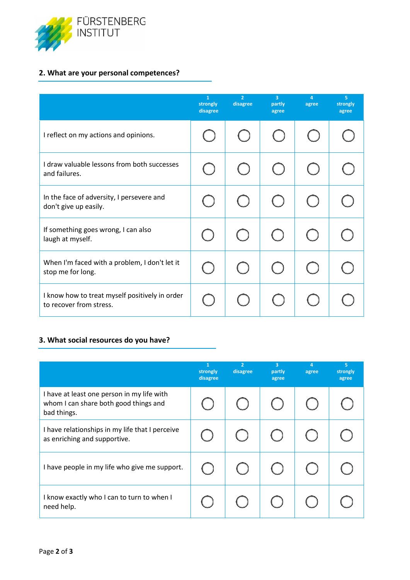

## **2. What are your personal competences?**

|                                                                           | $\mathbf{1}$<br>strongly<br>disagree | $\overline{2}$<br>disagree | $\overline{3}$<br>partly<br>agree | 4<br>agree | 5 <sup>°</sup><br>strongly<br>agree |
|---------------------------------------------------------------------------|--------------------------------------|----------------------------|-----------------------------------|------------|-------------------------------------|
| I reflect on my actions and opinions.                                     |                                      |                            |                                   |            |                                     |
| I draw valuable lessons from both successes<br>and failures.              |                                      |                            |                                   |            |                                     |
| In the face of adversity, I persevere and<br>don't give up easily.        |                                      |                            |                                   |            |                                     |
| If something goes wrong, I can also<br>laugh at myself.                   |                                      |                            |                                   |            |                                     |
| When I'm faced with a problem, I don't let it<br>stop me for long.        |                                      |                            |                                   |            |                                     |
| I know how to treat myself positively in order<br>to recover from stress. |                                      |                            |                                   |            |                                     |

#### **3. What social resources do you have?**

|                                                                                                    | 1<br>strongly<br>disagree | $\overline{2}$<br>disagree | 3<br>partly<br>agree | 4<br>agree | 5<br>strongly<br>agree |
|----------------------------------------------------------------------------------------------------|---------------------------|----------------------------|----------------------|------------|------------------------|
| I have at least one person in my life with<br>whom I can share both good things and<br>bad things. |                           |                            |                      |            |                        |
| I have relationships in my life that I perceive<br>as enriching and supportive.                    |                           |                            |                      |            |                        |
| I have people in my life who give me support.                                                      |                           |                            |                      |            |                        |
| I know exactly who I can to turn to when I<br>need help.                                           |                           |                            |                      |            |                        |